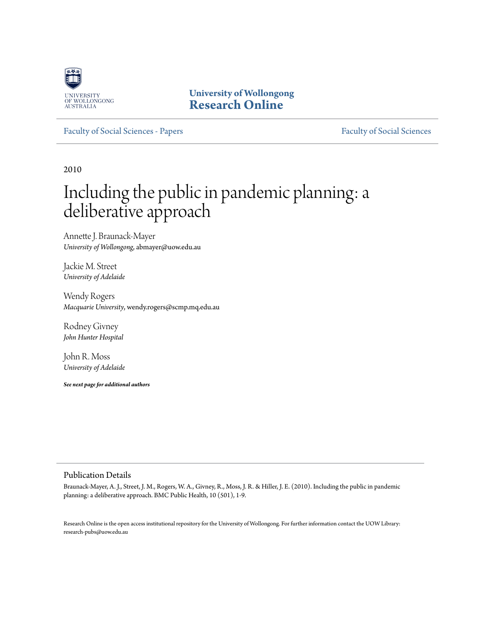

**University of Wollongong [Research Online](http://ro.uow.edu.au)**

[Faculty of Social Sciences - Papers](http://ro.uow.edu.au/sspapers) [Faculty of Social Sciences](http://ro.uow.edu.au/ss)

2010

# Including the public in pandemic planning: a deliberative approach

Annette J. Braunack-Mayer *University of Wollongong*, abmayer@uow.edu.au

Jackie M. Street *University of Adelaide*

Wendy Rogers *Macquarie University*, wendy.rogers@scmp.mq.edu.au

Rodney Givney *John Hunter Hospital*

John R. Moss *University of Adelaide*

*See next page for additional authors*

### Publication Details

Braunack-Mayer, A. J., Street, J. M., Rogers, W. A., Givney, R., Moss, J. R. & Hiller, J. E. (2010). Including the public in pandemic planning: a deliberative approach. BMC Public Health, 10 (501), 1-9.

Research Online is the open access institutional repository for the University of Wollongong. For further information contact the UOW Library: research-pubs@uow.edu.au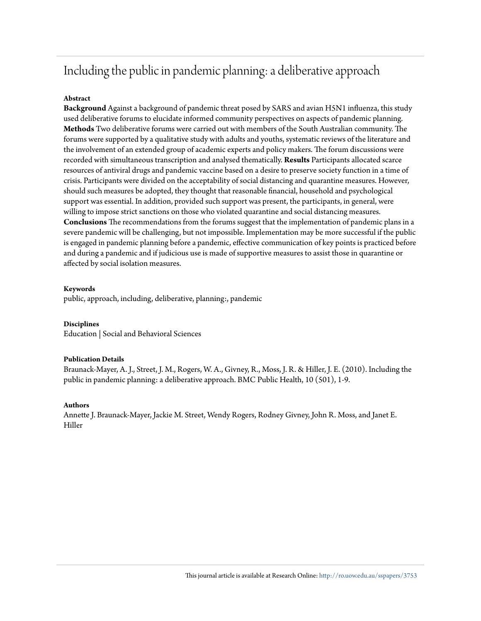## Including the public in pandemic planning: a deliberative approach

## **Abstract**

**Background** Against a background of pandemic threat posed by SARS and avian H5N1 influenza, this study used deliberative forums to elucidate informed community perspectives on aspects of pandemic planning. **Methods** Two deliberative forums were carried out with members of the South Australian community. The forums were supported by a qualitative study with adults and youths, systematic reviews of the literature and the involvement of an extended group of academic experts and policy makers. The forum discussions were recorded with simultaneous transcription and analysed thematically. **Results** Participants allocated scarce resources of antiviral drugs and pandemic vaccine based on a desire to preserve society function in a time of crisis. Participants were divided on the acceptability of social distancing and quarantine measures. However, should such measures be adopted, they thought that reasonable financial, household and psychological support was essential. In addition, provided such support was present, the participants, in general, were willing to impose strict sanctions on those who violated quarantine and social distancing measures. **Conclusions** The recommendations from the forums suggest that the implementation of pandemic plans in a severe pandemic will be challenging, but not impossible. Implementation may be more successful if the public is engaged in pandemic planning before a pandemic, effective communication of key points is practiced before and during a pandemic and if judicious use is made of supportive measures to assist those in quarantine or affected by social isolation measures.

## **Keywords**

public, approach, including, deliberative, planning:, pandemic

## **Disciplines**

Education | Social and Behavioral Sciences

## **Publication Details**

Braunack-Mayer, A. J., Street, J. M., Rogers, W. A., Givney, R., Moss, J. R. & Hiller, J. E. (2010). Including the public in pandemic planning: a deliberative approach. BMC Public Health, 10 (501), 1-9.

### **Authors**

Annette J. Braunack-Mayer, Jackie M. Street, Wendy Rogers, Rodney Givney, John R. Moss, and Janet E. Hiller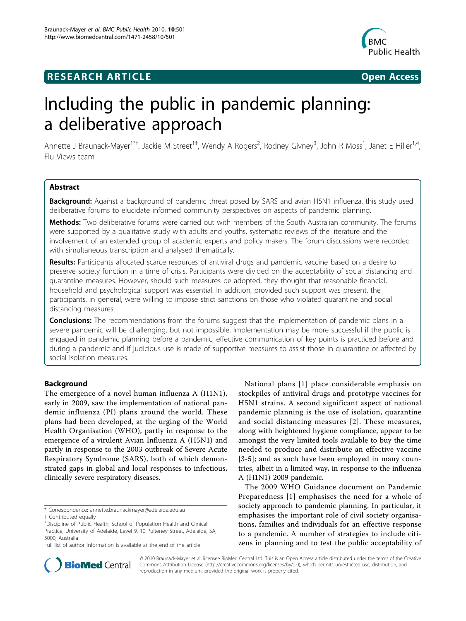## **RESEARCH ARTICLE CONSUMING A RESEARCH ARTICLE**



## Including the public in pandemic planning: a deliberative approach

Annette J Braunack-Mayer<sup>1\*†</sup>, Jackie M Street<sup>1†</sup>, Wendy A Rogers<sup>2</sup>, Rodney Givney<sup>3</sup>, John R Moss<sup>1</sup>, Janet E Hiller<sup>1,4</sup>, Flu Views team

## Abstract

Background: Against a background of pandemic threat posed by SARS and avian H5N1 influenza, this study used deliberative forums to elucidate informed community perspectives on aspects of pandemic planning.

Methods: Two deliberative forums were carried out with members of the South Australian community. The forums were supported by a qualitative study with adults and youths, systematic reviews of the literature and the involvement of an extended group of academic experts and policy makers. The forum discussions were recorded with simultaneous transcription and analysed thematically.

Results: Participants allocated scarce resources of antiviral drugs and pandemic vaccine based on a desire to preserve society function in a time of crisis. Participants were divided on the acceptability of social distancing and quarantine measures. However, should such measures be adopted, they thought that reasonable financial, household and psychological support was essential. In addition, provided such support was present, the participants, in general, were willing to impose strict sanctions on those who violated quarantine and social distancing measures.

**Conclusions:** The recommendations from the forums suggest that the implementation of pandemic plans in a severe pandemic will be challenging, but not impossible. Implementation may be more successful if the public is engaged in pandemic planning before a pandemic, effective communication of key points is practiced before and during a pandemic and if judicious use is made of supportive measures to assist those in quarantine or affected by social isolation measures.

#### Background

The emergence of a novel human influenza A (H1N1), early in 2009, saw the implementation of national pandemic influenza (PI) plans around the world. These plans had been developed, at the urging of the World Health Organisation (WHO), partly in response to the emergence of a virulent Avian Influenza A (H5N1) and partly in response to the 2003 outbreak of Severe Acute Respiratory Syndrome (SARS), both of which demonstrated gaps in global and local responses to infectious, clinically severe respiratory diseases.

National plans [[1](#page-9-0)] place considerable emphasis on stockpiles of antiviral drugs and prototype vaccines for H5N1 strains. A second significant aspect of national pandemic planning is the use of isolation, quarantine and social distancing measures [\[2\]](#page-9-0). These measures, along with heightened hygiene compliance, appear to be amongst the very limited tools available to buy the time needed to produce and distribute an effective vaccine [[3](#page-9-0)-[5\]](#page-9-0); and as such have been employed in many countries, albeit in a limited way, in response to the influenza A (H1N1) 2009 pandemic.

The 2009 WHO Guidance document on Pandemic Preparedness [[1\]](#page-9-0) emphasises the need for a whole of society approach to pandemic planning. In particular, it emphasises the important role of civil society organisations, families and individuals for an effective response to a pandemic. A number of strategies to include citizens in planning and to test the public acceptability of



© 2010 Braunack-Mayer et al; licensee BioMed Central Ltd. This is an Open Access article distributed under the terms of the Creative Commons Attribution License [\(http://creativecommons.org/licenses/by/2.0](http://creativecommons.org/licenses/by/2.0)), which permits unrestricted use, distribution, and reproduction in any medium, provided the original work is properly cited.

<sup>\*</sup> Correspondence: [annette.braunackmayer@adelaide.edu.au](mailto:annette.braunackmayer@adelaide.edu.au)

<sup>†</sup> Contributed equally <sup>1</sup>

<sup>&</sup>lt;sup>1</sup> Discipline of Public Health, School of Population Health and Clinical Practice, University of Adelaide, Level 9, 10 Pulteney Street, Adelaide, SA, 5000, Australia

Full list of author information is available at the end of the article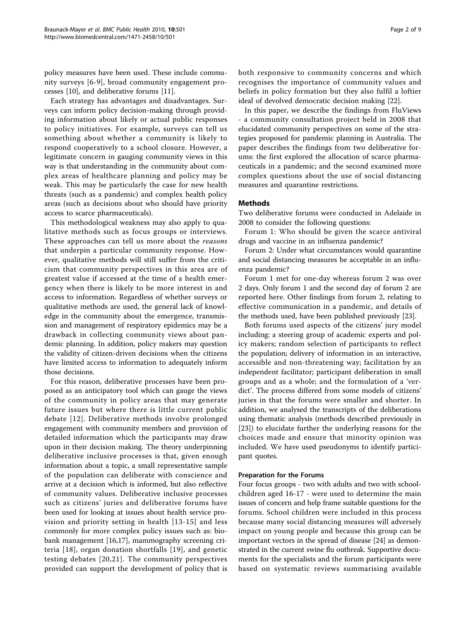policy measures have been used. These include community surveys [[6-9\]](#page-10-0), broad community engagement processes [\[10](#page-10-0)], and deliberative forums [\[11\]](#page-10-0).

Each strategy has advantages and disadvantages. Surveys can inform policy decision-making through providing information about likely or actual public responses to policy initiatives. For example, surveys can tell us something about whether a community is likely to respond cooperatively to a school closure. However, a legitimate concern in gauging community views in this way is that understanding in the community about complex areas of healthcare planning and policy may be weak. This may be particularly the case for new health threats (such as a pandemic) and complex health policy areas (such as decisions about who should have priority access to scarce pharmaceuticals).

This methodological weakness may also apply to qualitative methods such as focus groups or interviews. These approaches can tell us more about the reasons that underpin a particular community response. However, qualitative methods will still suffer from the criticism that community perspectives in this area are of greatest value if accessed at the time of a health emergency when there is likely to be more interest in and access to information. Regardless of whether surveys or qualitative methods are used, the general lack of knowledge in the community about the emergence, transmission and management of respiratory epidemics may be a drawback in collecting community views about pandemic planning. In addition, policy makers may question the validity of citizen-driven decisions when the citizens have limited access to information to adequately inform those decisions.

For this reason, deliberative processes have been proposed as an anticipatory tool which can gauge the views of the community in policy areas that may generate future issues but where there is little current public debate [[12](#page-10-0)]. Deliberative methods involve prolonged engagement with community members and provision of detailed information which the participants may draw upon in their decision making. The theory underpinning deliberative inclusive processes is that, given enough information about a topic, a small representative sample of the population can deliberate with conscience and arrive at a decision which is informed, but also reflective of community values. Deliberative inclusive processes such as citizens' juries and deliberative forums have been used for looking at issues about health service provision and priority setting in health [[13-15](#page-10-0)] and less commonly for more complex policy issues such as: biobank management [[16,17\]](#page-10-0), mammography screening criteria [\[18\]](#page-10-0), organ donation shortfalls [[19](#page-10-0)], and genetic testing debates [[20](#page-10-0),[21](#page-10-0)]. The community perspectives provided can support the development of policy that is both responsive to community concerns and which recognises the importance of community values and beliefs in policy formation but they also fulfil a loftier ideal of devolved democratic decision making [[22](#page-10-0)].

In this paper, we describe the findings from FluViews - a community consultation project held in 2008 that elucidated community perspectives on some of the strategies proposed for pandemic planning in Australia. The paper describes the findings from two deliberative forums: the first explored the allocation of scarce pharmaceuticals in a pandemic; and the second examined more complex questions about the use of social distancing measures and quarantine restrictions.

#### Methods

Two deliberative forums were conducted in Adelaide in 2008 to consider the following questions:

Forum 1: Who should be given the scarce antiviral drugs and vaccine in an influenza pandemic?

Forum 2: Under what circumstances would quarantine and social distancing measures be acceptable in an influenza pandemic?

Forum 1 met for one-day whereas forum 2 was over 2 days. Only forum 1 and the second day of forum 2 are reported here. Other findings from forum 2, relating to effective communication in a pandemic, and details of the methods used, have been published previously [\[23](#page-10-0)].

Both forums used aspects of the citizens' jury model including: a steering group of academic experts and policy makers; random selection of participants to reflect the population; delivery of information in an interactive, accessible and non-threatening way; facilitation by an independent facilitator; participant deliberation in small groups and as a whole; and the formulation of a 'verdict'. The process differed from some models of citizens' juries in that the forums were smaller and shorter. In addition, we analysed the transcripts of the deliberations using thematic analysis (methods described previously in [[23\]](#page-10-0)) to elucidate further the underlying reasons for the choices made and ensure that minority opinion was included. We have used pseudonyms to identify participant quotes.

#### Preparation for the Forums

Four focus groups - two with adults and two with schoolchildren aged 16-17 - were used to determine the main issues of concern and help frame suitable questions for the forums. School children were included in this process because many social distancing measures will adversely impact on young people and because this group can be important vectors in the spread of disease [\[24](#page-10-0)] as demonstrated in the current swine flu outbreak. Supportive documents for the specialists and the forum participants were based on systematic reviews summarising available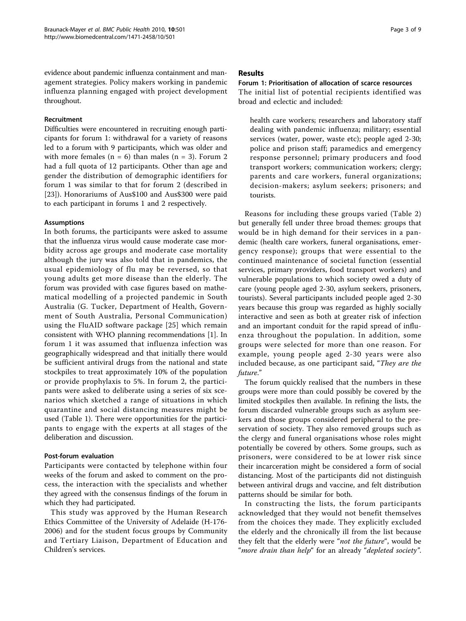evidence about pandemic influenza containment and management strategies. Policy makers working in pandemic influenza planning engaged with project development throughout.

#### Recruitment

Difficulties were encountered in recruiting enough participants for forum 1: withdrawal for a variety of reasons led to a forum with 9 participants, which was older and with more females ( $n = 6$ ) than males ( $n = 3$ ). Forum 2 had a full quota of 12 participants. Other than age and gender the distribution of demographic identifiers for forum 1 was similar to that for forum 2 (described in [[23\]](#page-10-0)). Honorariums of Aus\$100 and Aus\$300 were paid to each participant in forums 1 and 2 respectively.

#### Assumptions

In both forums, the participants were asked to assume that the influenza virus would cause moderate case morbidity across age groups and moderate case mortality although the jury was also told that in pandemics, the usual epidemiology of flu may be reversed, so that young adults get more disease than the elderly. The forum was provided with case figures based on mathematical modelling of a projected pandemic in South Australia (G. Tucker, Department of Health, Government of South Australia, Personal Communication) using the FluAID software package [[25](#page-10-0)] which remain consistent with WHO planning recommendations [\[1](#page-9-0)]. In forum 1 it was assumed that influenza infection was geographically widespread and that initially there would be sufficient antiviral drugs from the national and state stockpiles to treat approximately 10% of the population or provide prophylaxis to 5%. In forum 2, the participants were asked to deliberate using a series of six scenarios which sketched a range of situations in which quarantine and social distancing measures might be used (Table [1](#page-5-0)). There were opportunities for the participants to engage with the experts at all stages of the deliberation and discussion.

#### Post-forum evaluation

Participants were contacted by telephone within four weeks of the forum and asked to comment on the process, the interaction with the specialists and whether they agreed with the consensus findings of the forum in which they had participated.

This study was approved by the Human Research Ethics Committee of the University of Adelaide (H-176- 2006) and for the student focus groups by Community and Tertiary Liaison, Department of Education and Children's services.

#### Results

Forum 1: Prioritisation of allocation of scarce resources The initial list of potential recipients identified was broad and eclectic and included:

health care workers; researchers and laboratory staff dealing with pandemic influenza; military; essential services (water, power, waste etc); people aged 2-30; police and prison staff; paramedics and emergency response personnel; primary producers and food transport workers; communication workers; clergy; parents and care workers, funeral organizations; decision-makers; asylum seekers; prisoners; and tourists.

Reasons for including these groups varied (Table [2](#page-5-0)) but generally fell under three broad themes: groups that would be in high demand for their services in a pandemic (health care workers, funeral organisations, emergency response); groups that were essential to the continued maintenance of societal function (essential services, primary providers, food transport workers) and vulnerable populations to which society owed a duty of care (young people aged 2-30, asylum seekers, prisoners, tourists). Several participants included people aged 2-30 years because this group was regarded as highly socially interactive and seen as both at greater risk of infection and an important conduit for the rapid spread of influenza throughout the population. In addition, some groups were selected for more than one reason. For example, young people aged 2-30 years were also included because, as one participant said, "They are the future."

The forum quickly realised that the numbers in these groups were more than could possibly be covered by the limited stockpiles then available. In refining the lists, the forum discarded vulnerable groups such as asylum seekers and those groups considered peripheral to the preservation of society. They also removed groups such as the clergy and funeral organisations whose roles might potentially be covered by others. Some groups, such as prisoners, were considered to be at lower risk since their incarceration might be considered a form of social distancing. Most of the participants did not distinguish between antiviral drugs and vaccine, and felt distribution patterns should be similar for both.

In constructing the lists, the forum participants acknowledged that they would not benefit themselves from the choices they made. They explicitly excluded the elderly and the chronically ill from the list because they felt that the elderly were "not the future", would be "more drain than help" for an already "depleted society".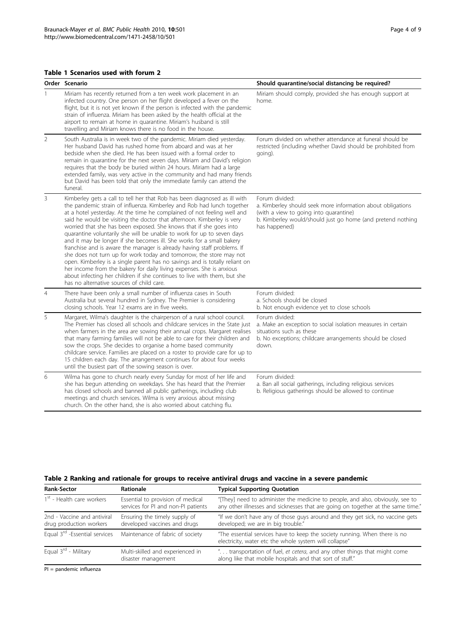### <span id="page-5-0"></span>Table 1 Scenarios used with forum 2

|                | Order Scenario                                                                                                                                                                                                                                                                                                                                                                                                                                                                                                                                                                                                                                                                                                                                                                                                                                                                                                                                                      | Should quarantine/social distancing be required?                                                                                                                                                        |
|----------------|---------------------------------------------------------------------------------------------------------------------------------------------------------------------------------------------------------------------------------------------------------------------------------------------------------------------------------------------------------------------------------------------------------------------------------------------------------------------------------------------------------------------------------------------------------------------------------------------------------------------------------------------------------------------------------------------------------------------------------------------------------------------------------------------------------------------------------------------------------------------------------------------------------------------------------------------------------------------|---------------------------------------------------------------------------------------------------------------------------------------------------------------------------------------------------------|
|                | Miriam has recently returned from a ten week work placement in an<br>infected country. One person on her flight developed a fever on the<br>flight, but it is not yet known if the person is infected with the pandemic<br>strain of influenza. Miriam has been asked by the health official at the<br>airport to remain at home in quarantine. Miriam's husband is still<br>travelling and Miriam knows there is no food in the house.                                                                                                                                                                                                                                                                                                                                                                                                                                                                                                                             | Miriam should comply, provided she has enough support at<br>home.                                                                                                                                       |
| 2              | South Australia is in week two of the pandemic. Miriam died yesterday.<br>Her husband David has rushed home from aboard and was at her<br>bedside when she died. He has been issued with a formal order to<br>remain in quarantine for the next seven days. Miriam and David's religion<br>requires that the body be buried within 24 hours. Miriam had a large<br>extended family, was very active in the community and had many friends<br>but David has been told that only the immediate family can attend the<br>funeral.                                                                                                                                                                                                                                                                                                                                                                                                                                      | Forum divided on whether attendance at funeral should be<br>restricted (including whether David should be prohibited from<br>qoing).                                                                    |
| 3              | Kimberley gets a call to tell her that Rob has been diagnosed as ill with<br>the pandemic strain of influenza. Kimberley and Rob had lunch together<br>at a hotel yesterday. At the time he complained of not feeling well and<br>said he would be visiting the doctor that afternoon. Kimberley is very<br>worried that she has been exposed. She knows that if she goes into<br>quarantine voluntarily she will be unable to work for up to seven days<br>and it may be longer if she becomes ill. She works for a small bakery<br>franchise and is aware the manager is already having staff problems. If<br>she does not turn up for work today and tomorrow, the store may not<br>open. Kimberley is a single parent has no savings and is totally reliant on<br>her income from the bakery for daily living expenses. She is anxious<br>about infecting her children if she continues to live with them, but she<br>has no alternative sources of child care. | Forum divided:<br>a. Kimberley should seek more information about obligations<br>(with a view to going into quarantine)<br>b. Kimberley would/should just go home (and pretend nothing<br>has happened) |
| $\overline{4}$ | There have been only a small number of influenza cases in South<br>Australia but several hundred in Sydney. The Premier is considering<br>closing schools. Year 12 exams are in five weeks.                                                                                                                                                                                                                                                                                                                                                                                                                                                                                                                                                                                                                                                                                                                                                                         | Forum divided:<br>a. Schools should be closed<br>b. Not enough evidence yet to close schools                                                                                                            |
| 5              | Margaret, Wilma's daughter is the chairperson of a rural school council.<br>The Premier has closed all schools and childcare services in the State just<br>when farmers in the area are sowing their annual crops. Margaret realises<br>that many farming families will not be able to care for their children and<br>sow the crops. She decides to organise a home based community<br>childcare service. Families are placed on a roster to provide care for up to<br>15 children each day. The arrangement continues for about four weeks<br>until the busiest part of the sowing season is over.                                                                                                                                                                                                                                                                                                                                                                 | Forum divided:<br>a. Make an exception to social isolation measures in certain<br>situations such as these<br>b. No exceptions; childcare arrangements should be closed<br>down.                        |
| 6              | Wilma has gone to church nearly every Sunday for most of her life and<br>she has begun attending on weekdays. She has heard that the Premier<br>has closed schools and banned all public gatherings, including club<br>meetings and church services. Wilma is very anxious about missing<br>church. On the other hand, she is also worried about catching flu.                                                                                                                                                                                                                                                                                                                                                                                                                                                                                                                                                                                                      | Forum divided:<br>a. Ban all social gatherings, including religious services<br>b. Religious gatherings should be allowed to continue                                                                   |

## Table 2 Ranking and rationale for groups to receive antiviral drugs and vaccine in a severe pandemic

| <b>Rank-Sector</b>                                     | Rationale                                                                | <b>Typical Supporting Quotation</b>                                                                                                                                |  |
|--------------------------------------------------------|--------------------------------------------------------------------------|--------------------------------------------------------------------------------------------------------------------------------------------------------------------|--|
| 1 <sup>st</sup> - Health care workers                  | Essential to provision of medical<br>services for PI and non-PI patients | "[They] need to administer the medicine to people, and also, obviously, see to<br>any other illnesses and sicknesses that are going on together at the same time." |  |
| 2nd - Vaccine and antiviral<br>drug production workers | Ensuring the timely supply of<br>developed vaccines and drugs            | "If we don't have any of those guys around and they get sick, no vaccine gets<br>developed; we are in big trouble."                                                |  |
| Equal 3 <sup>rd</sup> -Essential services              | Maintenance of fabric of society                                         | "The essential services have to keep the society running. When there is no<br>electricity, water etc the whole system will collapse"                               |  |
| Equal 3 <sup>rd</sup> - Military                       | Multi-skilled and experienced in<br>disaster management                  | " transportation of fuel, et cetera, and any other things that might come<br>along like that mobile hospitals and that sort of stuff."                             |  |

PI = pandemic influenza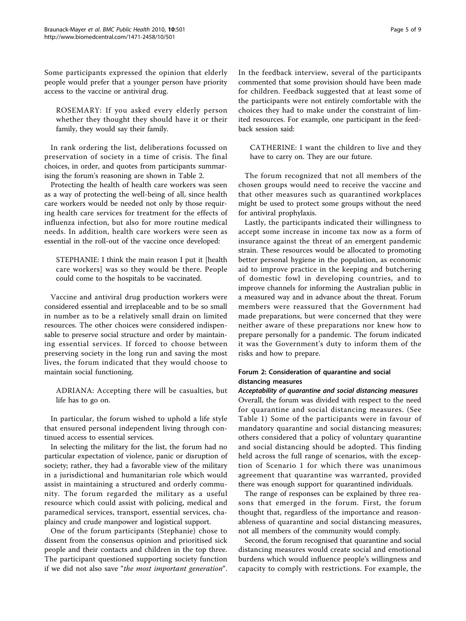Some participants expressed the opinion that elderly people would prefer that a younger person have priority access to the vaccine or antiviral drug.

ROSEMARY: If you asked every elderly person whether they thought they should have it or their family, they would say their family.

In rank ordering the list, deliberations focussed on preservation of society in a time of crisis. The final choices, in order, and quotes from participants summarising the forum's reasoning are shown in Table [2.](#page-5-0)

Protecting the health of health care workers was seen as a way of protecting the well-being of all, since health care workers would be needed not only by those requiring health care services for treatment for the effects of influenza infection, but also for more routine medical needs. In addition, health care workers were seen as essential in the roll-out of the vaccine once developed:

STEPHANIE: I think the main reason I put it [health care workers] was so they would be there. People could come to the hospitals to be vaccinated.

Vaccine and antiviral drug production workers were considered essential and irreplaceable and to be so small in number as to be a relatively small drain on limited resources. The other choices were considered indispensable to preserve social structure and order by maintaining essential services. If forced to choose between preserving society in the long run and saving the most lives, the forum indicated that they would choose to maintain social functioning.

ADRIANA: Accepting there will be casualties, but life has to go on.

In particular, the forum wished to uphold a life style that ensured personal independent living through continued access to essential services.

In selecting the military for the list, the forum had no particular expectation of violence, panic or disruption of society; rather, they had a favorable view of the military in a jurisdictional and humanitarian role which would assist in maintaining a structured and orderly community. The forum regarded the military as a useful resource which could assist with policing, medical and paramedical services, transport, essential services, chaplaincy and crude manpower and logistical support.

One of the forum participants (Stephanie) chose to dissent from the consensus opinion and prioritised sick people and their contacts and children in the top three. The participant questioned supporting society function if we did not also save "the most important generation". In the feedback interview, several of the participants commented that some provision should have been made for children. Feedback suggested that at least some of the participants were not entirely comfortable with the choices they had to make under the constraint of limited resources. For example, one participant in the feedback session said:

CATHERINE: I want the children to live and they have to carry on. They are our future.

The forum recognized that not all members of the chosen groups would need to receive the vaccine and that other measures such as quarantined workplaces might be used to protect some groups without the need for antiviral prophylaxis.

Lastly, the participants indicated their willingness to accept some increase in income tax now as a form of insurance against the threat of an emergent pandemic strain. These resources would be allocated to promoting better personal hygiene in the population, as economic aid to improve practice in the keeping and butchering of domestic fowl in developing countries, and to improve channels for informing the Australian public in a measured way and in advance about the threat. Forum members were reassured that the Government had made preparations, but were concerned that they were neither aware of these preparations nor knew how to prepare personally for a pandemic. The forum indicated it was the Government's duty to inform them of the risks and how to prepare.

## Forum 2: Consideration of quarantine and social distancing measures

Acceptability of quarantine and social distancing measures Overall, the forum was divided with respect to the need for quarantine and social distancing measures. (See Table [1\)](#page-5-0) Some of the participants were in favour of mandatory quarantine and social distancing measures; others considered that a policy of voluntary quarantine and social distancing should be adopted. This finding held across the full range of scenarios, with the exception of Scenario 1 for which there was unanimous agreement that quarantine was warranted, provided there was enough support for quarantined individuals.

The range of responses can be explained by three reasons that emerged in the forum. First, the forum thought that, regardless of the importance and reasonableness of quarantine and social distancing measures, not all members of the community would comply.

Second, the forum recognised that quarantine and social distancing measures would create social and emotional burdens which would influence people's willingness and capacity to comply with restrictions. For example, the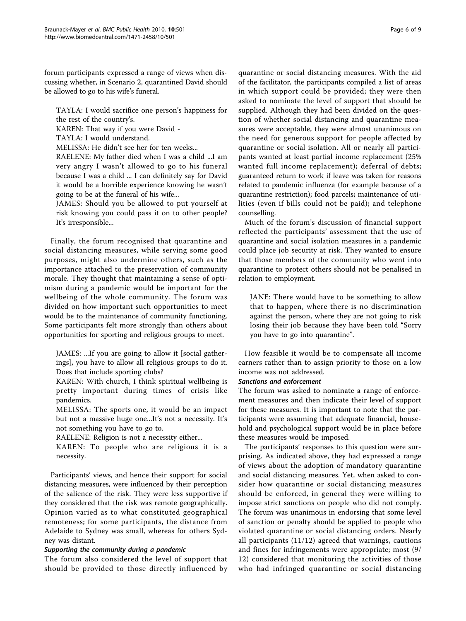forum participants expressed a range of views when discussing whether, in Scenario 2, quarantined David should be allowed to go to his wife's funeral.

TAYLA: I would sacrifice one person's happiness for the rest of the country's.

KAREN: That way if you were David -

TAYLA: I would understand.

MELISSA: He didn't see her for ten weeks...

RAELENE: My father died when I was a child ...I am very angry I wasn't allowed to go to his funeral because I was a child ... I can definitely say for David it would be a horrible experience knowing he wasn't going to be at the funeral of his wife...

JAMES: Should you be allowed to put yourself at risk knowing you could pass it on to other people? It's irresponsible...

Finally, the forum recognised that quarantine and social distancing measures, while serving some good purposes, might also undermine others, such as the importance attached to the preservation of community morale. They thought that maintaining a sense of optimism during a pandemic would be important for the wellbeing of the whole community. The forum was divided on how important such opportunities to meet would be to the maintenance of community functioning. Some participants felt more strongly than others about opportunities for sporting and religious groups to meet.

JAMES: ...If you are going to allow it [social gatherings], you have to allow all religious groups to do it. Does that include sporting clubs?

KAREN: With church, I think spiritual wellbeing is pretty important during times of crisis like pandemics.

MELISSA: The sports one, it would be an impact but not a massive huge one...It's not a necessity. It's not something you have to go to.

RAELENE: Religion is not a necessity either...

KAREN: To people who are religious it is a necessity.

Participants' views, and hence their support for social distancing measures, were influenced by their perception of the salience of the risk. They were less supportive if they considered that the risk was remote geographically. Opinion varied as to what constituted geographical remoteness; for some participants, the distance from Adelaide to Sydney was small, whereas for others Sydney was distant.

#### Supporting the community during a pandemic

The forum also considered the level of support that should be provided to those directly influenced by

quarantine or social distancing measures. With the aid of the facilitator, the participants compiled a list of areas in which support could be provided; they were then asked to nominate the level of support that should be supplied. Although they had been divided on the question of whether social distancing and quarantine measures were acceptable, they were almost unanimous on the need for generous support for people affected by quarantine or social isolation. All or nearly all participants wanted at least partial income replacement (25% wanted full income replacement); deferral of debts; guaranteed return to work if leave was taken for reasons related to pandemic influenza (for example because of a quarantine restriction); food parcels; maintenance of utilities (even if bills could not be paid); and telephone counselling.

Much of the forum's discussion of financial support reflected the participants' assessment that the use of quarantine and social isolation measures in a pandemic could place job security at risk. They wanted to ensure that those members of the community who went into quarantine to protect others should not be penalised in relation to employment.

JANE: There would have to be something to allow that to happen, where there is no discrimination against the person, where they are not going to risk losing their job because they have been told "Sorry you have to go into quarantine".

How feasible it would be to compensate all income earners rather than to assign priority to those on a low income was not addressed.

#### Sanctions and enforcement

The forum was asked to nominate a range of enforcement measures and then indicate their level of support for these measures. It is important to note that the participants were assuming that adequate financial, household and psychological support would be in place before these measures would be imposed.

The participants' responses to this question were surprising. As indicated above, they had expressed a range of views about the adoption of mandatory quarantine and social distancing measures. Yet, when asked to consider how quarantine or social distancing measures should be enforced, in general they were willing to impose strict sanctions on people who did not comply. The forum was unanimous in endorsing that some level of sanction or penalty should be applied to people who violated quarantine or social distancing orders. Nearly all participants (11/12) agreed that warnings, cautions and fines for infringements were appropriate; most (9/ 12) considered that monitoring the activities of those who had infringed quarantine or social distancing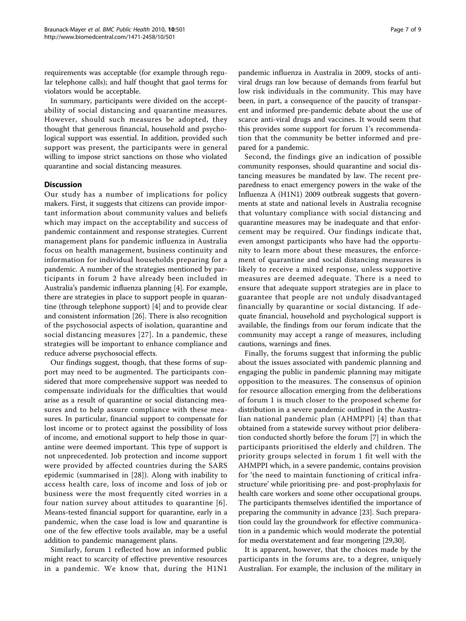requirements was acceptable (for example through regular telephone calls); and half thought that gaol terms for violators would be acceptable.

In summary, participants were divided on the acceptability of social distancing and quarantine measures. However, should such measures be adopted, they thought that generous financial, household and psychological support was essential. In addition, provided such support was present, the participants were in general willing to impose strict sanctions on those who violated quarantine and social distancing measures.

#### **Discussion**

Our study has a number of implications for policy makers. First, it suggests that citizens can provide important information about community values and beliefs which may impact on the acceptability and success of pandemic containment and response strategies. Current management plans for pandemic influenza in Australia focus on health management, business continuity and information for individual households preparing for a pandemic. A number of the strategies mentioned by participants in forum 2 have already been included in Australia's pandemic influenza planning [\[4](#page-9-0)]. For example, there are strategies in place to support people in quarantine (through telephone support) [[4](#page-9-0)] and to provide clear and consistent information [\[26\]](#page-10-0). There is also recognition of the psychosocial aspects of isolation, quarantine and social distancing measures [[27\]](#page-10-0). In a pandemic, these strategies will be important to enhance compliance and reduce adverse psychosocial effects.

Our findings suggest, though, that these forms of support may need to be augmented. The participants considered that more comprehensive support was needed to compensate individuals for the difficulties that would arise as a result of quarantine or social distancing measures and to help assure compliance with these measures. In particular, financial support to compensate for lost income or to protect against the possibility of loss of income, and emotional support to help those in quarantine were deemed important. This type of support is not unprecedented. Job protection and income support were provided by affected countries during the SARS epidemic (summarised in [[28](#page-10-0)]). Along with inability to access health care, loss of income and loss of job or business were the most frequently cited worries in a four nation survey about attitudes to quarantine [[6\]](#page-10-0). Means-tested financial support for quarantine, early in a pandemic, when the case load is low and quarantine is one of the few effective tools available, may be a useful addition to pandemic management plans.

Similarly, forum 1 reflected how an informed public might react to scarcity of effective preventive resources in a pandemic. We know that, during the H1N1 pandemic influenza in Australia in 2009, stocks of antiviral drugs ran low because of demands from fearful but low risk individuals in the community. This may have been, in part, a consequence of the paucity of transparent and informed pre-pandemic debate about the use of scarce anti-viral drugs and vaccines. It would seem that this provides some support for forum 1's recommendation that the community be better informed and prepared for a pandemic.

Second, the findings give an indication of possible community responses, should quarantine and social distancing measures be mandated by law. The recent preparedness to enact emergency powers in the wake of the Influenza A (H1N1) 2009 outbreak suggests that governments at state and national levels in Australia recognise that voluntary compliance with social distancing and quarantine measures may be inadequate and that enforcement may be required. Our findings indicate that, even amongst participants who have had the opportunity to learn more about these measures, the enforcement of quarantine and social distancing measures is likely to receive a mixed response, unless supportive measures are deemed adequate. There is a need to ensure that adequate support strategies are in place to guarantee that people are not unduly disadvantaged financially by quarantine or social distancing. If adequate financial, household and psychological support is available, the findings from our forum indicate that the community may accept a range of measures, including cautions, warnings and fines.

Finally, the forums suggest that informing the public about the issues associated with pandemic planning and engaging the public in pandemic planning may mitigate opposition to the measures. The consensus of opinion for resource allocation emerging from the deliberations of forum 1 is much closer to the proposed scheme for distribution in a severe pandemic outlined in the Australian national pandemic plan (AHMPPI) [[4\]](#page-9-0) than that obtained from a statewide survey without prior deliberation conducted shortly before the forum [\[7](#page-10-0)] in which the participants prioritised the elderly and children. The priority groups selected in forum 1 fit well with the AHMPPI which, in a severe pandemic, contains provision for 'the need to maintain functioning of critical infrastructure' while prioritising pre- and post-prophylaxis for health care workers and some other occupational groups. The participants themselves identified the importance of preparing the community in advance [[23\]](#page-10-0). Such preparation could lay the groundwork for effective communication in a pandemic which would moderate the potential for media overstatement and fear mongering [\[29,30\]](#page-10-0).

It is apparent, however, that the choices made by the participants in the forums are, to a degree, uniquely Australian. For example, the inclusion of the military in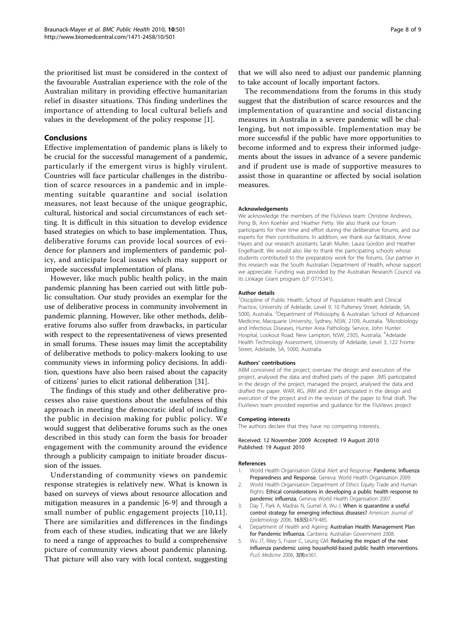<span id="page-9-0"></span>the prioritised list must be considered in the context of the favourable Australian experience with the role of the Australian military in providing effective humanitarian relief in disaster situations. This finding underlines the importance of attending to local cultural beliefs and values in the development of the policy response [1].

#### Conclusions

Effective implementation of pandemic plans is likely to be crucial for the successful management of a pandemic, particularly if the emergent virus is highly virulent. Countries will face particular challenges in the distribution of scarce resources in a pandemic and in implementing suitable quarantine and social isolation measures, not least because of the unique geographic, cultural, historical and social circumstances of each setting. It is difficult in this situation to develop evidence based strategies on which to base implementation. Thus, deliberative forums can provide local sources of evidence for planners and implementers of pandemic policy, and anticipate local issues which may support or impede successful implementation of plans.

However, like much public health policy, in the main pandemic planning has been carried out with little public consultation. Our study provides an exemplar for the use of deliberative process in community involvement in pandemic planning. However, like other methods, deliberative forums also suffer from drawbacks, in particular with respect to the representativeness of views presented in small forums. These issues may limit the acceptability of deliberative methods to policy-makers looking to use community views in informing policy decisions. In addition, questions have also been raised about the capacity of citizens' juries to elicit rational deliberation [\[31\]](#page-10-0).

The findings of this study and other deliberative processes also raise questions about the usefulness of this approach in meeting the democratic ideal of including the public in decision making for public policy. We would suggest that deliberative forums such as the ones described in this study can form the basis for broader engagement with the community around the evidence through a publicity campaign to initiate broader discussion of the issues.

Understanding of community views on pandemic response strategies is relatively new. What is known is based on surveys of views about resource allocation and mitigation measures in a pandemic [[6-9](#page-10-0)] and through a small number of public engagement projects [[10,11\]](#page-10-0). There are similarities and differences in the findings from each of these studies, indicating that we are likely to need a range of approaches to build a comprehensive picture of community views about pandemic planning. That picture will also vary with local context, suggesting

The recommendations from the forums in this study suggest that the distribution of scarce resources and the implementation of quarantine and social distancing measures in Australia in a severe pandemic will be challenging, but not impossible. Implementation may be more successful if the public have more opportunities to become informed and to express their informed judgements about the issues in advance of a severe pandemic and if prudent use is made of supportive measures to assist those in quarantine or affected by social isolation measures.

#### Acknowledgements

We acknowledge the members of the FluViews team: Christine Andrews, Peng Bi, Ann Koehler and Heather Petty. We also thank our forum participants for their time and effort during the deliberative forums, and our experts for their contributions. In addition, we thank our facilitator, Anne Hayes and our research assistants Sarah Muller, Laura Gordon and Heather Engelhardt. We would also like to thank the participating schools whose students contributed to the preparatory work for the forums. Our partner in this research was the South Australian Department of Health, whose support we appreciate. Funding was provided by the Australian Research Council via its Linkage Grant program (LP 0775341).

#### Author details

<sup>1</sup> Discipline of Public Health, School of Population Health and Clinical Practice, University of Adelaide, Level 9, 10 Pulteney Street, Adelaide, SA, 5000, Australia. <sup>2</sup> Department of Philosophy & Australian School of Advanced Medicine, Macquarie University, Sydney, NSW, 2109, Australia. <sup>3</sup>Microbiology and Infectious Diseases, Hunter Area Pathology Service, John Hunter Hospital, Lookout Road, New Lampton, NSW, 2305, Australia. <sup>4</sup>Adelaide Health Technology Assessment, University of Adelaide, Level 3, 122 Frome Street, Adelaide, SA, 5000, Australia.

#### Authors' contributions

ABM conceived of the project, oversaw the design and execution of the project, analysed the data and drafted parts of the paper. JMS participated in the design of the project, managed the project, analysed the data and drafted the paper. WAR, RG, JRM and JEH participated in the design and execution of the project and in the revision of the paper to final draft. The FluViews team provided expertise and guidance for the FluViews project

#### Competing interests

The authors declare that they have no competing interests.

#### Received: 12 November 2009 Accepted: 19 August 2010 Published: 19 August 2010

#### References

- World Health Organisation Global Alert and Response: Pandemic Influenza Preparedness and Response. Geneva: World Health Organisation 2009.
- 2. World Health Organisation Department of Ethics Equity Trade and Human Rights: Ethical considerations in developing a public health response to pandemic influenza. Geneva: World Health Organisation 2007.
- 3. Day T, Park A, Madras N, Gumel A, Wu J: [When is quarantine a useful](http://www.ncbi.nlm.nih.gov/pubmed/16421244?dopt=Abstract) [control strategy for emerging infectious diseases?](http://www.ncbi.nlm.nih.gov/pubmed/16421244?dopt=Abstract) American Journal of Epidemiology 2006, 163(5):479-485.
- 4. Department of Health and Ageing: Australian Health Management Plan for Pandemic Influenza. Canberra: Australian Government 2008.
- 5. Wu JT, Riley S, Fraser C, Leung GM: [Reducing the impact of the next](http://www.ncbi.nlm.nih.gov/pubmed/16881729?dopt=Abstract) [influenza pandemic using household-based public health interventions.](http://www.ncbi.nlm.nih.gov/pubmed/16881729?dopt=Abstract) PLoS Medicine 2006, 3(9):e361.